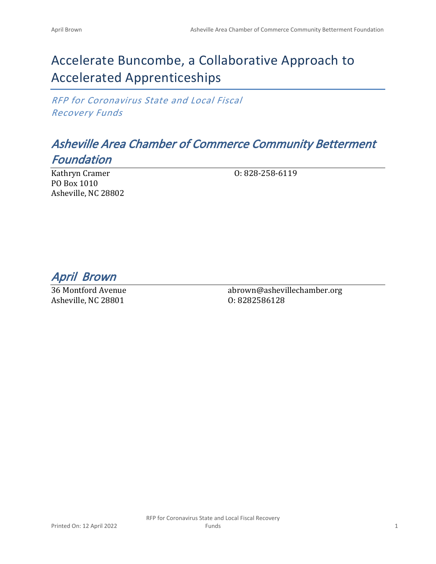# Accelerate Buncombe, a Collaborative Approach to Accelerated Apprenticeships

*RFP for Coronavirus State and Local Fiscal Recovery Funds*

# *Asheville Area Chamber of Commerce Community Betterment Foundation*

Kathryn Cramer PO Box 1010 Asheville, NC 28802

O: 828-258-6119

*April Brown* 

36 Montford Avenue Asheville, NC 28801

abrown@ashevillechamber.org O: 8282586128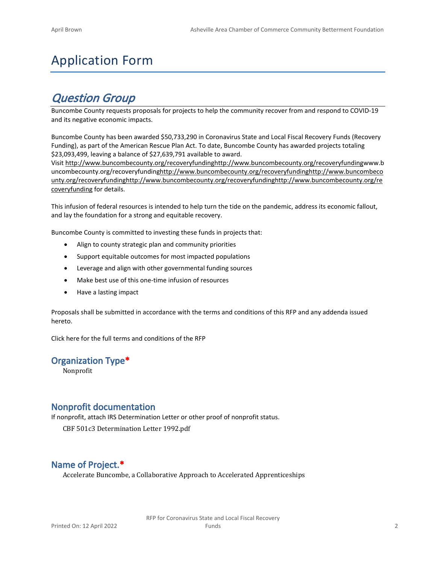# Application Form

# *Question Group*

Buncombe County requests proposals for projects to help the community recover from and respond to COVID-19 and its negative economic impacts.

Buncombe County has been awarded \$50,733,290 in Coronavirus State and Local Fiscal Recovery Funds (Recovery Funding), as part of the American Rescue Plan Act. To date, Buncombe County has awarded projects totaling \$23,093,499, leaving a balance of \$27,639,791 available to award.

Visit [http://www.buncombecounty.org/recoveryfundinghttp://www.buncombecounty.org/recoveryfundingwww.b](http://www.buncombecounty.org/recoveryfunding) [uncombecounty.org/recoveryfundinghttp://www.buncombecounty.org/recoveryfundinghttp://www.buncombeco](http://www.buncombecounty.org/recoveryfunding) [unty.org/recoveryfundinghttp://www.buncombecounty.org/recoveryfundinghttp://www.buncombecounty.org/re](http://www.buncombecounty.org/recoveryfunding) [coveryfunding](http://www.buncombecounty.org/recoveryfunding) for details.

This infusion of federal resources is intended to help turn the tide on the pandemic, address its economic fallout, and lay the foundation for a strong and equitable recovery.

Buncombe County is committed to investing these funds in projects that:

- Align to county strategic plan and community priorities
- Support equitable outcomes for most impacted populations
- Leverage and align with other governmental funding sources
- Make best use of this one-time infusion of resources
- Have a lasting impact

Proposals shall be submitted in accordance with the terms and conditions of this RFP and any addenda issued hereto.

Click [here](https://www.buncombecounty.org/common/purchasing/Buncombe%20Recovery%20Funding%20RFP%202022.pdf) for the full terms and conditions of the RFP

# **Organization Type\***

Nonprofit

# **Nonprofit documentation**

If nonprofit, attach IRS Determination Letter or other proof of nonprofit status.

CBF 501c3 Determination Letter 1992.pdf

# **Name of Project.\***

Accelerate Buncombe, a Collaborative Approach to Accelerated Apprenticeships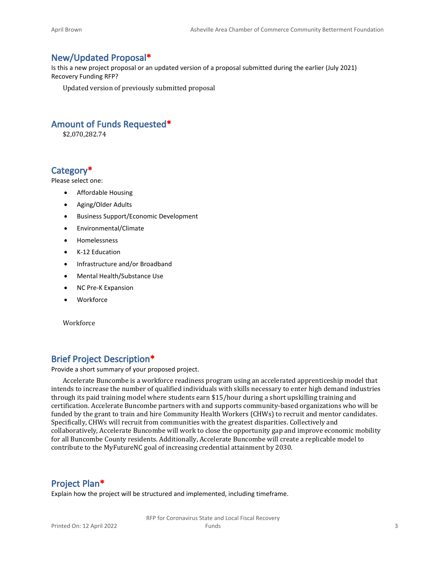# **New/Updated Proposal\***

Is this a new project proposal or an updated version of a proposal submitted during the earlier (July 2021) Recovery Funding RFP?

Updated version of previously submitted proposal

# **Amount of Funds Requested\***

\$2,070,282.74

# **Category\***

Please select one:

- Affordable Housing
- Aging/Older Adults
- Business Support/Economic Development
- Environmental/Climate
- Homelessness
- K-12 Education
- Infrastructure and/or Broadband
- Mental Health/Substance Use
- NC Pre-K Expansion
- Workforce

Workforce

# **Brief Project Description\***

Provide a short summary of your proposed project.

Accelerate Buncombe is a workforce readiness program using an accelerated apprenticeship model that intends to increase the number of qualified individuals with skills necessary to enter high demand industries through its paid training model where students earn \$15/hour during a short upskilling training and certification. Accelerate Buncombe partners with and supports community-based organizations who will be funded by the grant to train and hire Community Health Workers (CHWs) to recruit and mentor candidates. Specifically, CHWs will recruit from communities with the greatest disparities. Collectively and collaboratively, Accelerate Buncombe will work to close the opportunity gap and improve economic mobility for all Buncombe County residents. Additionally, Accelerate Buncombe will create a replicable model to contribute to the MyFutureNC goal of increasing credential attainment by 2030.

# **Project Plan\***

Explain how the project will be structured and implemented, including timeframe.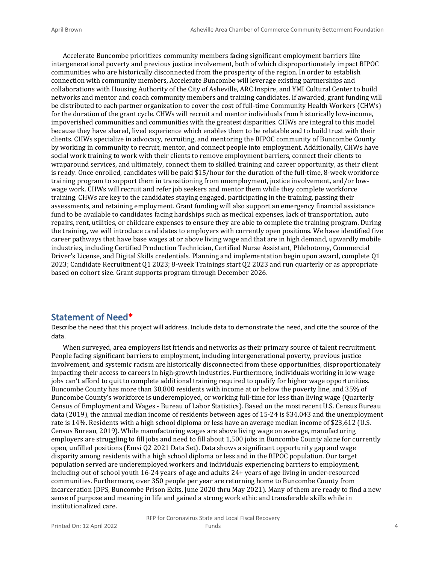Accelerate Buncombe prioritizes community members facing significant employment barriers like intergenerational poverty and previous justice involvement, both of which disproportionately impact BIPOC communities who are historically disconnected from the prosperity of the region. In order to establish connection with community members, Accelerate Buncombe will leverage existing partnerships and collaborations with Housing Authority of the City of Asheville, ARC Inspire, and YMI Cultural Center to build networks and mentor and coach community members and training candidates. If awarded, grant funding will be distributed to each partner organization to cover the cost of full-time Community Health Workers (CHWs) for the duration of the grant cycle. CHWs will recruit and mentor individuals from historically low-income, impoverished communities and communities with the greatest disparities. CHWs are integral to this model because they have shared, lived experience which enables them to be relatable and to build trust with their clients. CHWs specialize in advocacy, recruiting, and mentoring the BIPOC community of Buncombe County by working in community to recruit, mentor, and connect people into employment. Additionally, CHWs have social work training to work with their clients to remove employment barriers, connect their clients to wraparound services, and ultimately, connect them to skilled training and career opportunity, as their client is ready. Once enrolled, candidates will be paid \$15/hour for the duration of the full-time, 8-week workforce training program to support them in transitioning from unemployment, justice involvement, and/or lowwage work. CHWs will recruit and refer job seekers and mentor them while they complete workforce training. CHWs are key to the candidates staying engaged, participating in the training, passing their assessments, and retaining employment. Grant funding will also support an emergency financial assistance fund to be available to candidates facing hardships such as medical expenses, lack of transportation, auto repairs, rent, utilities, or childcare expenses to ensure they are able to complete the training program. During the training, we will introduce candidates to employers with currently open positions. We have identified five career pathways that have base wages at or above living wage and that are in high demand, upwardly mobile industries, including Certified Production Technician, Certified Nurse Assistant, Phlebotomy, Commercial Driver's License, and Digital Skills credentials. Planning and implementation begin upon award, complete Q1 2023; Candidate Recruitment Q1 2023; 8-week Trainings start Q2 2023 and run quarterly or as appropriate based on cohort size. Grant supports program through December 2026.

### **Statement of Need\***

Describe the need that this project will address. Include data to demonstrate the need, and cite the source of the data.

When surveyed, area employers list friends and networks as their primary source of talent recruitment. People facing significant barriers to employment, including intergenerational poverty, previous justice involvement, and systemic racism are historically disconnected from these opportunities, disproportionately impacting their access to careers in high-growth industries. Furthermore, individuals working in low-wage jobs can't afford to quit to complete additional training required to qualify for higher wage opportunities. Buncombe County has more than 30,800 residents with income at or below the poverty line, and 35% of Buncombe County's workforce is underemployed, or working full-time for less than living wage (Quarterly Census of Employment and Wages - Bureau of Labor Statistics). Based on the most recent U.S. Census Bureau data (2019), the annual median income of residents between ages of 15-24 is \$34,043 and the unemployment rate is 14%. Residents with a high school diploma or less have an average median income of \$23,612 (U.S. Census Bureau, 2019). While manufacturing wages are above living wage on average, manufacturing employers are struggling to fill jobs and need to fill about 1,500 jobs in Buncombe County alone for currently open, unfilled positions (Emsi Q2 2021 Data Set). Data shows a significant opportunity gap and wage disparity among residents with a high school diploma or less and in the BIPOC population. Our target population served are underemployed workers and individuals experiencing barriers to employment, including out of school youth 16-24 years of age and adults 24+ years of age living in under-resourced communities. Furthermore, over 350 people per year are returning home to Buncombe County from incarceration (DPS, Buncombe Prison Exits, June 2020 thru May 2021). Many of them are ready to find a new sense of purpose and meaning in life and gained a strong work ethic and transferable skills while in institutionalized care.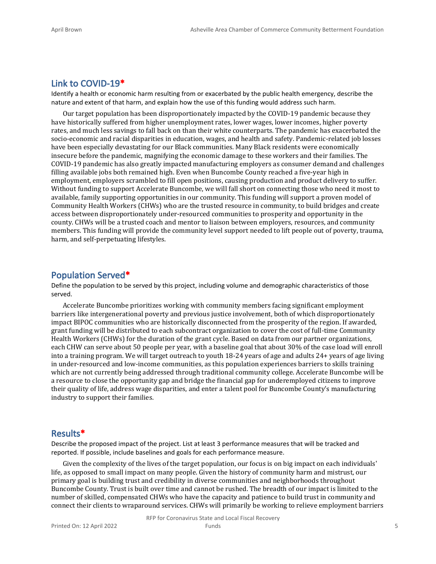# **Link to COVID-19\***

Identify a health or economic harm resulting from or exacerbated by the public health emergency, describe the nature and extent of that harm, and explain how the use of this funding would address such harm.

Our target population has been disproportionately impacted by the COVID-19 pandemic because they have historically suffered from higher unemployment rates, lower wages, lower incomes, higher poverty rates, and much less savings to fall back on than their white counterparts. The pandemic has exacerbated the socio-economic and racial disparities in education, wages, and health and safety. Pandemic-related job losses have been especially devastating for our Black communities. Many Black residents were economically insecure before the pandemic, magnifying the economic damage to these workers and their families. The COVID-19 pandemic has also greatly impacted manufacturing employers as consumer demand and challenges filling available jobs both remained high. Even when Buncombe County reached a five-year high in employment, employers scrambled to fill open positions, causing production and product delivery to suffer. Without funding to support Accelerate Buncombe, we will fall short on connecting those who need it most to available, family supporting opportunities in our community. This funding will support a proven model of Community Health Workers (CHWs) who are the trusted resource in community, to build bridges and create access between disproportionately under-resourced communities to prosperity and opportunity in the county. CHWs will be a trusted coach and mentor to liaison between employers, resources, and community members. This funding will provide the community level support needed to lift people out of poverty, trauma, harm, and self-perpetuating lifestyles.

## **Population Served\***

Define the population to be served by this project, including volume and demographic characteristics of those served.

Accelerate Buncombe prioritizes working with community members facing significant employment barriers like intergenerational poverty and previous justice involvement, both of which disproportionately impact BIPOC communities who are historically disconnected from the prosperity of the region. If awarded, grant funding will be distributed to each subcontract organization to cover the cost of full-time Community Health Workers (CHWs) for the duration of the grant cycle. Based on data from our partner organizations, each CHW can serve about 50 people per year, with a baseline goal that about 30% of the case load will enroll into a training program. We will target outreach to youth 18-24 years of age and adults 24+ years of age living in under-resourced and low-income communities, as this population experiences barriers to skills training which are not currently being addressed through traditional community college. Accelerate Buncombe will be a resource to close the opportunity gap and bridge the financial gap for underemployed citizens to improve their quality of life, address wage disparities, and enter a talent pool for Buncombe County's manufacturing industry to support their families.

### **Results\***

Describe the proposed impact of the project. List at least 3 performance measures that will be tracked and reported. If possible, include baselines and goals for each performance measure.

Given the complexity of the lives of the target population, our focus is on big impact on each individuals' life, as opposed to small impact on many people. Given the history of community harm and mistrust, our primary goal is building trust and credibility in diverse communities and neighborhoods throughout Buncombe County. Trust is built over time and cannot be rushed. The breadth of our impact is limited to the number of skilled, compensated CHWs who have the capacity and patience to build trust in community and connect their clients to wraparound services. CHWs will primarily be working to relieve employment barriers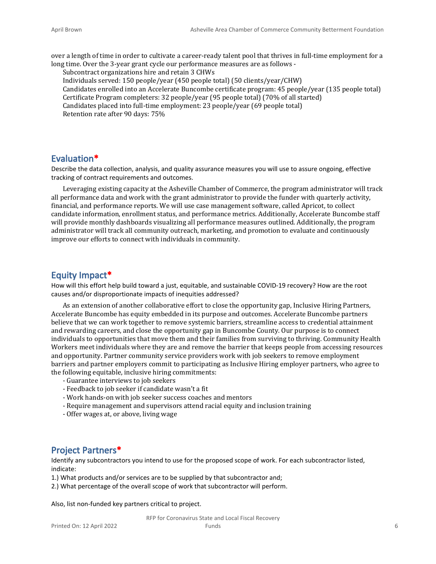over a length of time in order to cultivate a career-ready talent pool that thrives in full-time employment for a long time. Over the 3-year grant cycle our performance measures are as follows -

Subcontract organizations hire and retain 3 CHWs Individuals served: 150 people/year (450 people total) (50 clients/year/CHW)

Candidates enrolled into an Accelerate Buncombe certificate program: 45 people/year (135 people total) Certificate Program completers: 32 people/year (95 people total) (70% of all started) Candidates placed into full-time employment: 23 people/year (69 people total) Retention rate after 90 days: 75%

## **Evaluation\***

Describe the data collection, analysis, and quality assurance measures you will use to assure ongoing, effective tracking of contract requirements and outcomes.

Leveraging existing capacity at the Asheville Chamber of Commerce, the program administrator will track all performance data and work with the grant administrator to provide the funder with quarterly activity, financial, and performance reports. We will use case management software, called Apricot, to collect candidate information, enrollment status, and performance metrics. Additionally, Accelerate Buncombe staff will provide monthly dashboards visualizing all performance measures outlined. Additionally, the program administrator will track all community outreach, marketing, and promotion to evaluate and continuously improve our efforts to connect with individuals in community.

## **Equity Impact\***

How will this effort help build toward a just, equitable, and sustainable COVID-19 recovery? How are the root causes and/or disproportionate impacts of inequities addressed?

As an extension of another collaborative effort to close the opportunity gap, Inclusive Hiring Partners, Accelerate Buncombe has equity embedded in its purpose and outcomes. Accelerate Buncombe partners believe that we can work together to remove systemic barriers, streamline access to credential attainment and rewarding careers, and close the opportunity gap in Buncombe County. Our purpose is to connect individuals to opportunities that move them and their families from surviving to thriving. Community Health Workers meet individuals where they are and remove the barrier that keeps people from accessing resources and opportunity. Partner community service providers work with job seekers to remove employment barriers and partner employers commit to participating as Inclusive Hiring employer partners, who agree to the following equitable, inclusive hiring commitments:

- Guarantee interviews to job seekers
- Feedback to job seeker if candidate wasn't a fit
- Work hands-on with job seeker success coaches and mentors
- Require management and supervisors attend racial equity and inclusion training
- Offer wages at, or above, living wage

## **Project Partners\***

Identify any subcontractors you intend to use for the proposed scope of work. For each subcontractor listed, indicate:

1.) What products and/or services are to be supplied by that subcontractor and;

2.) What percentage of the overall scope of work that subcontractor will perform.

Also, list non-funded key partners critical to project.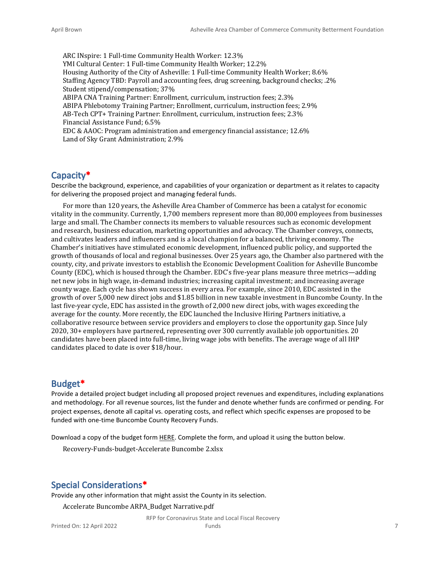ARC INspire: 1 Full-time Community Health Worker: 12.3% YMI Cultural Center: 1 Full-time Community Health Worker; 12.2% Housing Authority of the City of Asheville: 1 Full-time Community Health Worker; 8.6% Staffing Agency TBD: Payroll and accounting fees, drug screening, background checks; .2% Student stipend/compensation; 37% ABIPA CNA Training Partner: Enrollment, curriculum, instruction fees; 2.3% ABIPA Phlebotomy Training Partner; Enrollment, curriculum, instruction fees; 2.9% AB-Tech CPT+ Training Partner: Enrollment, curriculum, instruction fees; 2.3% Financial Assistance Fund; 6.5% EDC & AAOC: Program administration and emergency financial assistance; 12.6% Land of Sky Grant Administration; 2.9%

## **Capacity\***

Describe the background, experience, and capabilities of your organization or department as it relates to capacity for delivering the proposed project and managing federal funds.

For more than 120 years, the Asheville Area Chamber of Commerce has been a catalyst for economic vitality in the community. Currently, 1,700 members represent more than 80,000 employees from businesses large and small. The Chamber connects its members to valuable resources such as economic development and research, business education, marketing opportunities and advocacy. The Chamber conveys, connects, and cultivates leaders and influencers and is a local champion for a balanced, thriving economy. The Chamber's initiatives have stimulated economic development, influenced public policy, and supported the growth of thousands of local and regional businesses. Over 25 years ago, the Chamber also partnered with the county, city, and private investors to establish the Economic Development Coalition for Asheville Buncombe County (EDC), which is housed through the Chamber. EDC's five-year plans measure three metrics—adding net new jobs in high wage, in-demand industries; increasing capital investment; and increasing average county wage. Each cycle has shown success in every area. For example, since 2010, EDC assisted in the growth of over 5,000 new direct jobs and \$1.85 billion in new taxable investment in Buncombe County. In the last five-year cycle, EDC has assisted in the growth of 2,000 new direct jobs, with wages exceeding the average for the county. More recently, the EDC launched the Inclusive Hiring Partners initiative, a collaborative resource between service providers and employers to close the opportunity gap. Since July 2020, 30+ employers have partnered, representing over 300 currently available job opportunities. 20 candidates have been placed into full-time, living wage jobs with benefits. The average wage of all IHP candidates placed to date is over \$18/hour.

## **Budget\***

Provide a detailed project budget including all proposed project revenues and expenditures, including explanations and methodology. For all revenue sources, list the funder and denote whether funds are confirmed or pending. For project expenses, denote all capital vs. operating costs, and reflect which specific expenses are proposed to be funded with one-time Buncombe County Recovery Funds.

Download a copy of the budget form [HERE](https://buncombecounty.org/common/community-investment/grants/early-childhood-education/Recovery-Funds-budget-template.xlsx). Complete the form, and upload it using the button below.

Recovery-Funds-budget-Accelerate Buncombe 2.xlsx

# **Special Considerations\***

Provide any other information that might assist the County in its selection.

Accelerate Buncombe ARPA\_Budget Narrative.pdf

RFP for Coronavirus State and Local Fiscal Recovery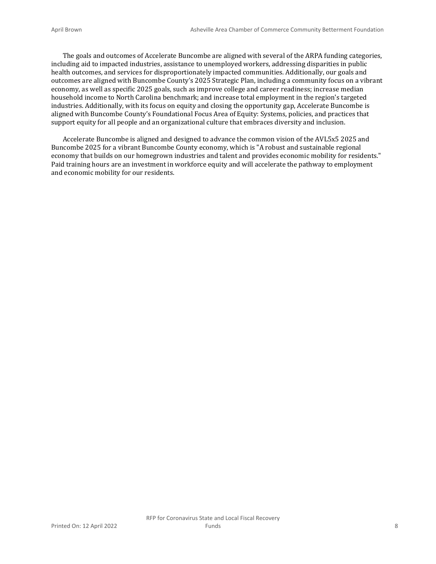The goals and outcomes of Accelerate Buncombe are aligned with several of the ARPA funding categories, including aid to impacted industries, assistance to unemployed workers, addressing disparities in public health outcomes, and services for disproportionately impacted communities. Additionally, our goals and outcomes are aligned with Buncombe County's 2025 Strategic Plan, including a community focus on a vibrant economy, as well as specific 2025 goals, such as improve college and career readiness; increase median household income to North Carolina benchmark; and increase total employment in the region's targeted industries. Additionally, with its focus on equity and closing the opportunity gap, Accelerate Buncombe is aligned with Buncombe County's Foundational Focus Area of Equity: Systems, policies, and practices that support equity for all people and an organizational culture that embraces diversity and inclusion.

Accelerate Buncombe is aligned and designed to advance the common vision of the AVL5x5 2025 and Buncombe 2025 for a vibrant Buncombe County economy, which is "A robust and sustainable regional economy that builds on our homegrown industries and talent and provides economic mobility for residents." Paid training hours are an investment in workforce equity and will accelerate the pathway to employment and economic mobility for our residents.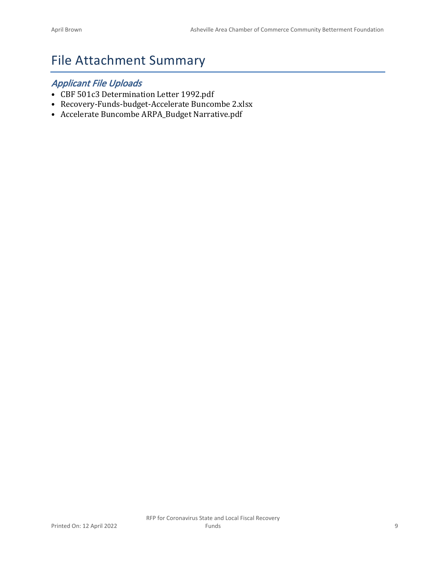# File Attachment Summary

# *Applicant File Uploads*

- CBF 501c3 Determination Letter 1992.pdf
- Recovery-Funds-budget-Accelerate Buncombe 2.xlsx
- Accelerate Buncombe ARPA\_Budget Narrative.pdf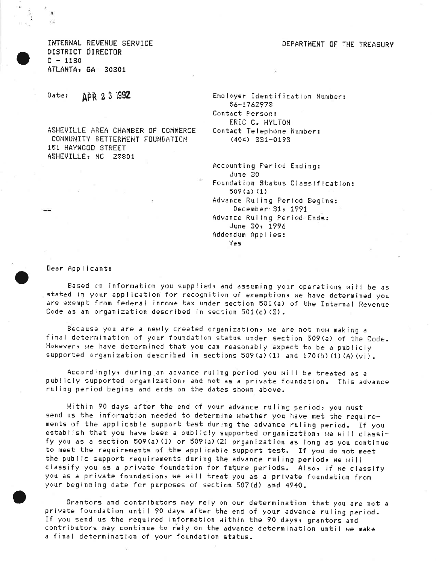DEPARTMENT OF THE TREASURY

INTERNAL REVENUE SERVICE DISTRICT DIRECTOR  $C - 1130$ ATLANTA, GA 30301

APR 2 3 1992 Date:

ASHEVILLE AREA CHAMBER OF COMMERCE COMMUNITY BETTERMENT FOUNDATION 151 HAYWOOD STREET ASHEVILLE, NC 28801

Employer Identification Number: 56-1762978 Contact Person: ERIC C. HYLTON Contact Telephone Number:  $(404)$  331-0193

Accounting Period Ending: June 30 Foundation Status Classification:  $509(a)(1)$ Advance Ruling Period Begins: December 31, 1991 Advance Ruling Period Ends: June 30, 1996 Addendum Applies: Yes

Dear Applicant:

Based on information you supplied, and assuming your operations will be as stated in your application for recognition of exemption, we have determined you are exempt from federal income tax under section 501(a) of the Internal Revenue Code as an organization described in section 501(c)(3).

Because you are a newly created organization, we are not now making a final determination of your foundation status under section 509(a) of the Code. However, we have determined that you can reasonably expect to be a publiciy supported organization described in sections 509(a)(1) and 170(b)(1)(A)(vi).

Accordingly, during an advance ruling period you will be treated as a publicly supported organization, and not as a private foundation. This advance ruling period begins and ends on the dates shown above.

Within 90 days after the end of your advance ruling period, you must send us the information needed to determine whether you have met the requirements of the applicable support test during the advance ruling period. If you establish that you have been a publicly supported organization, we will classify you as a section 509(a)(1) or 509(a)(2) organization as long as you continue to meet the requirements of the applicable support test. If you do not meet the public support requirements during the advance ruling period, we will classify you as a private foundation for future periods. Also, if we classify you as a private foundation, we will treat you as a private foundation from your beginning date for purposes of section 507(d) and 4940.

Grantors and contributors may rely on our determination that you are not a private foundation until 90 days after the end of your advance ruling period. If you send us the required information within the 90 days, grantors and contributors may continue to rely on the advance determination until we make a final determination of your foundation status.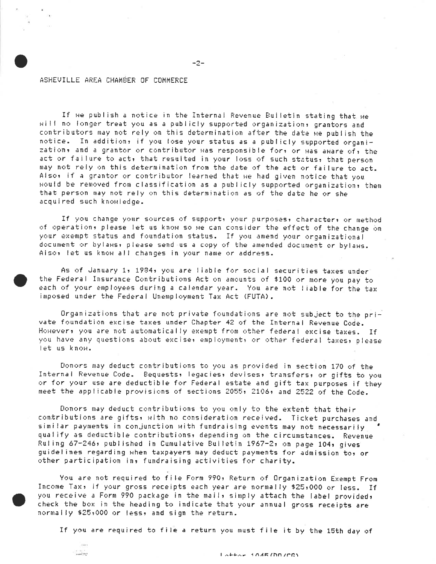#### ASHEVILLE AREA CHAMBER OF COMMERCE

 $\cdots$ 

If we publish a notice in the Internal Revenue Bulletin stating that we will no longer treat you as a publicly supported organizations grantors and contributors may not rely on this determination after the date we publish the notice. In addition, if you lose your status as a publicly supported organization, and a grantor or contributor was responsible for, or was aware of, the act or failure to act, that resulted in your loss of such status, that person may not rely on this determination from the date of the act or failure to act. Also, if a grantor or contributor learned that we had given notice that you would be removed from classification as a publicly supported organization, then that person may not rely on this determination as of the date he or she acquired such knowledge.

 $-2-$ 

If you change your sources of support, your purposes, character, or method of operation, please let us know so we can consider the effect of the change on your exempt status and foundation status. If you amend your organizational document or bylaws, please send us a copy of the amended document or bylaws. Aiso, let us know all changes in your name or address.

As of January 1, 1984, you are liable for social securities taxes under the Federal Insurance Contributions Act on amounts of \$100 or more you pay to each of your employees during a calendar year. You are not liable for the tax imposed under the Federal Unemployment Tax Act (FUTA).

Organizations that are not private foundations are not subject to the private foundation excise taxes under Chapter 42 of the Internal Revenue Code. Howevers you are not automatically exempt from other federal excise taxes. If you have any questions about excise, employment, or other federal taxes, please let us know.

Donors may deduct contributions to you as provided in section 170 of the Internal Revenue Code. Bequests, legacies, devises, transfers, or gifts to you or for your use are deductible for Federal estate and gift tax purposes if they meet the applicable provisions of sections 2055, 2106, and 2522 of the Code.

Donors may deduct contributions to you only to the extent that their contributions are gifts, with no consideration received. Ticket purchases and similar payments in conjunction with fundraising events may not necessarily qualify as deductible contributions, depending on the circumstances. Revenue Ruling 67-246, published in Cumulative Bulletin 1967-2, on page 104, gives guidelines regarding when taxpayers may deduct payments for admission to, or other participation in, fundraising activities for charity.

You are not required to file Form 990, Return of Organization Exempt From Income Tax, if your gross receipts each year are normally \$25,000 or less. If you receive a Form 990 package in the mail, simply attach the label provided, check the box in the heading to indicate that your annual gross receipts are normally \$25,000 or less, and sign the return.

If you are required to file a return you must file it by the 15th day of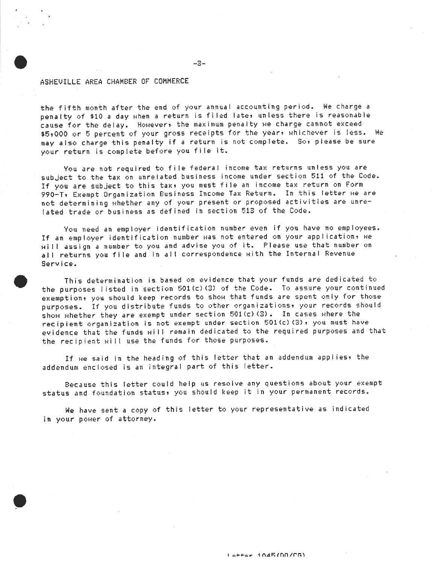#### ASHEVILLE AREA CHAMBER OF COMMERCE

the fifth month after the end of your annual accounting period. We charge a penalty of \$10 a day when a return is filed late, unless there is reasonable cause for the delay. Howevers the maximum penalty we charge cannot exceed \$5,000 or 5 percent of your gross receipts for the year, whichever is less. We may also charge this penalty if a return is not complete. So, please be sure your return is complete before you file it.

 $-3-$ 

You are not required to file federal income tax returns unless you are subject to the tax on unrelated business income under section 511 of the Code. If you are subject to this tax, you must file an income tax return on Form 990-T, Exempt Organization Business Income Tax Return. In this letter we are not determining whether any of your present or proposed activities are unrelated trade or business as defined in section 513 of the Code.

You need an employer identification number even if you have no employees. If an employer identification number was not entered on your application, we will assign a number to you and advise you of it. Please use that number on all returns you file and in all correspondence with the Internal Revenue Service.

This determination is based on evidence that your funds are dedicated to the purposes listed in section 501(c)(3) of the Code. To assure your continued exemption, you should keep records to show that funds are spent only for those purposes. If you distribute funds to other organizations, your records should show whether they are exempt under section 501(c)(3). In cases where the recipient organization is not exempt under section 501(c)(3), you must have evidence that the funds will remain dedicated to the required purposes and that the recipient will use the funds for those purposes.

If we said in the heading of this letter that an addendum applies, the addendum enclosed is an integral part of this letter.

Because this letter could help us resolve any questions about your exempt status and foundation status, you should keep it in your permanent records.

We have sent a copy of this letter to your representative as indicated in your power of attorney.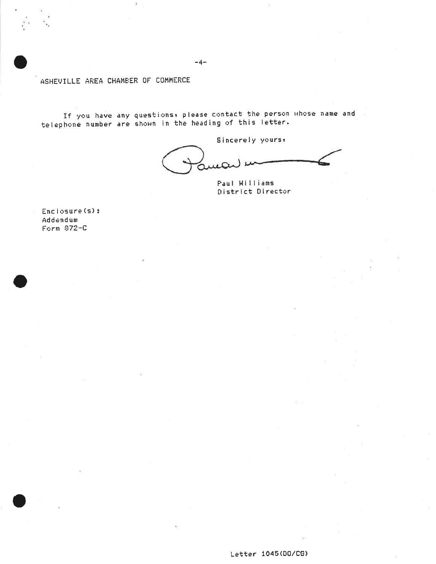ASHEVILLE AREA CHAMBER OF COMMERCE

3

If you have any questions, please contact the person whose name and<br>telephone number are shown in the heading of this letter.

Sincerely yours,

Paul Williams District Director

Enclosure(s): Addendum Form 872-C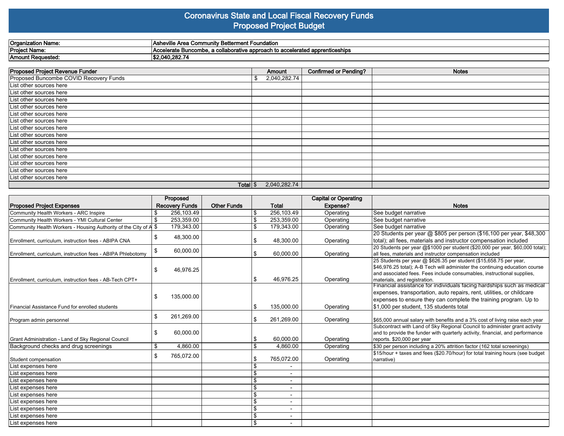## **Coronavirus State and Local Fiscal Recovery Funds Proposed Project Budget**

| <b>Organization Name:</b> | Foundation<br>د Area Community Betterm<br>Asheville<br>1ent r                |
|---------------------------|------------------------------------------------------------------------------|
| <b>Project Name:</b>      | Accelerate Buncombe, a collaborative approach to accelerated apprenticeships |
| Amount Requested.         | 0.282.7<br><br>- 74<br>∴a∠ ⊾                                                 |

| <b>Proposed Project Revenue Funder</b> | Amount             | <b>Confirmed or Pending?</b> | <b>Notes</b> |
|----------------------------------------|--------------------|------------------------------|--------------|
| Proposed Buncombe COVID Recovery Funds | \$<br>2,040,282.74 |                              |              |
| List other sources here                |                    |                              |              |
| List other sources here                |                    |                              |              |
| List other sources here                |                    |                              |              |
| List other sources here                |                    |                              |              |
| List other sources here                |                    |                              |              |
| List other sources here                |                    |                              |              |
| List other sources here                |                    |                              |              |
| List other sources here                |                    |                              |              |
| List other sources here                |                    |                              |              |
| List other sources here                |                    |                              |              |
| List other sources here                |                    |                              |              |
| List other sources here                |                    |                              |              |
| List other sources here                |                    |                              |              |
| List other sources here                |                    |                              |              |
| Total $\frac{1}{3}$                    | 2,040,282.74       |                              |              |

|                                                                              | Proposed                                    |            | <b>Capital or Operating</b> |              |                          |              |                                                                                                                                                                                                                                                              |  |
|------------------------------------------------------------------------------|---------------------------------------------|------------|-----------------------------|--------------|--------------------------|--------------|--------------------------------------------------------------------------------------------------------------------------------------------------------------------------------------------------------------------------------------------------------------|--|
| <b>Proposed Project Expenses</b>                                             | <b>Recovery Funds</b><br><b>Other Funds</b> |            |                             | <b>Total</b> | Expense?                 | <b>Notes</b> |                                                                                                                                                                                                                                                              |  |
| Community Health Workers - ARC Inspire                                       |                                             | 256,103.49 |                             |              | 256,103.49               | Operating    | See budget narrative                                                                                                                                                                                                                                         |  |
| Community Health Workers - YMI Cultural Center                               | \$                                          | 253,359.00 |                             | \$           | 253,359.00               | Operating    | See budget narrative                                                                                                                                                                                                                                         |  |
| Community Health Workers - Housing Authority of the City of $\mathsf{A}\$ \$ |                                             | 179,343.00 |                             | \$           | 179,343.00               | Operating    | See budget narrative                                                                                                                                                                                                                                         |  |
|                                                                              | \$                                          | 48,300.00  |                             | \$           | 48,300.00                |              | 20 Students per year @ \$805 per person (\$16,100 per year, \$48,300<br>total); all fees, materials and instructor compensation included                                                                                                                     |  |
| Enrollment, curriculum, instruction fees - ABIPA CNA                         |                                             |            |                             |              |                          | Operating    |                                                                                                                                                                                                                                                              |  |
| Enrollment, curriculum, instruction fees - ABIPA Phlebotomy                  |                                             | 60,000.00  |                             |              | 60,000.00                | Operating    | 20 Students per year @\$1000 per student (\$20,000 per year, \$60,000 total);<br>all fees, materials and instructor compensation included                                                                                                                    |  |
| Enrollment, curriculum, instruction fees - AB-Tech CPT+                      | \$                                          | 46,976.25  |                             |              | 46.976.25                | Operating    | 25 Students per year @ \$626.35 per student (\$15,658.75 per year,<br>\$46,976.25 total); A-B Tech will administer the continuing education course<br>and associated fees. Fees include consumables, instructional supplies,<br>materials, and registration. |  |
|                                                                              |                                             |            |                             |              |                          |              | Financial assistance for individuals facing hardships such as medical                                                                                                                                                                                        |  |
|                                                                              |                                             |            |                             |              |                          |              | expenses, transportation, auto repairs, rent, utilities, or childcare                                                                                                                                                                                        |  |
|                                                                              | \$                                          | 135,000.00 |                             |              |                          |              | expenses to ensure they can complete the training program. Up to                                                                                                                                                                                             |  |
| Financial Assistance Fund for enrolled students                              |                                             |            |                             | \$           | 135,000.00               | Operating    | \$1,000 per student, 135 students total                                                                                                                                                                                                                      |  |
| Program admin personnel                                                      | \$                                          | 261,269.00 |                             | \$           | 261,269.00               | Operating    | \$65,000 annual salary with benefits and a 3% cost of living raise each year                                                                                                                                                                                 |  |
| Grant Administration - Land of Sky Regional Council                          | \$                                          | 60,000.00  |                             | \$           | 60,000.00                | Operating    | Subcontract with Land of Sky Regional Council to administer grant activity<br>and to provide the funder with quarterly activity, financial, and performance<br>reports. \$20,000 per year                                                                    |  |
| Background checks and drug screenings                                        | \$                                          | 4,860.00   |                             | \$           | 4,860.00                 | Operating    | \$30 per person including a 20% attrition factor (162 total screenings)                                                                                                                                                                                      |  |
| Student compensation                                                         | \$                                          | 765,072.00 |                             | S            | 765.072.00               | Operating    | \$15/hour + taxes and fees (\$20.70/hour) for total training hours (see budget<br>narrative)                                                                                                                                                                 |  |
| List expenses here                                                           |                                             |            |                             |              |                          |              |                                                                                                                                                                                                                                                              |  |
| List expenses here                                                           |                                             |            |                             |              | $\overline{\phantom{0}}$ |              |                                                                                                                                                                                                                                                              |  |
| List expenses here                                                           |                                             |            |                             |              |                          |              |                                                                                                                                                                                                                                                              |  |
| List expenses here                                                           |                                             |            |                             | \$           | $\overline{\phantom{a}}$ |              |                                                                                                                                                                                                                                                              |  |
| List expenses here                                                           |                                             |            |                             |              | $\overline{\phantom{0}}$ |              |                                                                                                                                                                                                                                                              |  |
| List expenses here                                                           |                                             |            |                             | \$           |                          |              |                                                                                                                                                                                                                                                              |  |
| List expenses here                                                           |                                             |            |                             |              | $\overline{\phantom{0}}$ |              |                                                                                                                                                                                                                                                              |  |
| List expenses here                                                           |                                             |            |                             |              | $\overline{\phantom{a}}$ |              |                                                                                                                                                                                                                                                              |  |
| List expenses here                                                           |                                             |            |                             |              |                          |              |                                                                                                                                                                                                                                                              |  |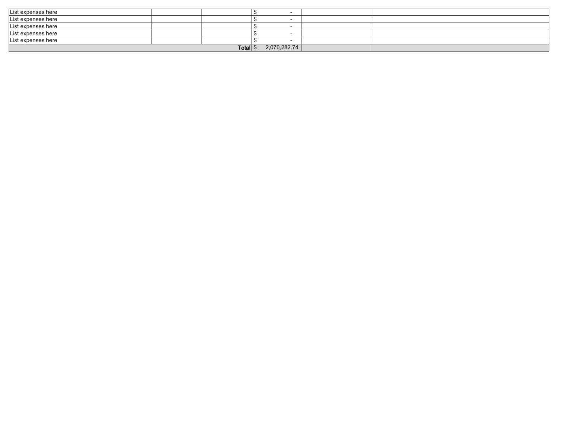| List expenses here |                     |              |  |
|--------------------|---------------------|--------------|--|
| List expenses here |                     |              |  |
| List expenses here |                     |              |  |
| List expenses here |                     |              |  |
| List expenses here |                     |              |  |
|                    | Total $\frac{1}{2}$ | 2,070,282.74 |  |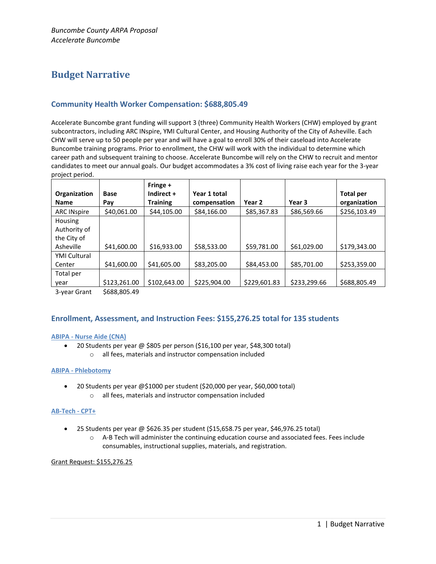# **Budget Narrative**

### **Community Health Worker Compensation: \$688,805.49**

Accelerate Buncombe grant funding will support 3 (three) Community Health Workers (CHW) employed by grant subcontractors, including ARC INspire, YMI Cultural Center, and Housing Authority of the City of Asheville. Each CHW will serve up to 50 people per year and will have a goal to enroll 30% of their caseload into Accelerate Buncombe training programs. Prior to enrollment, the CHW will work with the individual to determine which career path and subsequent training to choose. Accelerate Buncombe will rely on the CHW to recruit and mentor candidates to meet our annual goals. Our budget accommodates a 3% cost of living raise each year for the 3-year project period.

|                     |              | Fringe +        |              |              |              |              |
|---------------------|--------------|-----------------|--------------|--------------|--------------|--------------|
| Organization        | <b>Base</b>  | Indirect +      | Year 1 total |              |              | Total per    |
| <b>Name</b>         | Pay          | <b>Training</b> | compensation | Year 2       | Year 3       | organization |
| <b>ARC INspire</b>  | \$40,061.00  | \$44,105.00     | \$84,166.00  | \$85,367.83  | \$86,569.66  | \$256,103.49 |
| <b>Housing</b>      |              |                 |              |              |              |              |
| Authority of        |              |                 |              |              |              |              |
| the City of         |              |                 |              |              |              |              |
| Asheville           | \$41,600.00  | \$16,933.00     | \$58,533.00  | \$59,781.00  | \$61,029.00  | \$179,343.00 |
| <b>YMI Cultural</b> |              |                 |              |              |              |              |
| Center              | \$41,600.00  | \$41,605.00     | \$83,205.00  | \$84,453.00  | \$85,701.00  | \$253,359.00 |
| Total per           |              |                 |              |              |              |              |
| year                | \$123,261.00 | \$102,643.00    | \$225,904.00 | \$229,601.83 | \$233,299.66 | \$688,805.49 |

3-year Grant \$688,805.49

#### **Enrollment, Assessment, and Instruction Fees: \$155,276.25 total for 135 students**

#### **ABIPA - Nurse Aide (CNA)**

- 20 Students per year @ \$805 per person (\$16,100 per year, \$48,300 total)
	- o all fees, materials and instructor compensation included

#### **ABIPA - Phlebotomy**

• 20 Students per year @\$1000 per student (\$20,000 per year, \$60,000 total) o all fees, materials and instructor compensation included

#### **AB-Tech - CPT+**

- 25 Students per year @ \$626.35 per student (\$15,658.75 per year, \$46,976.25 total)
	- o A-B Tech will administer the continuing education course and associated fees. Fees include consumables, instructional supplies, materials, and registration.

#### Grant Request: \$155,276.25